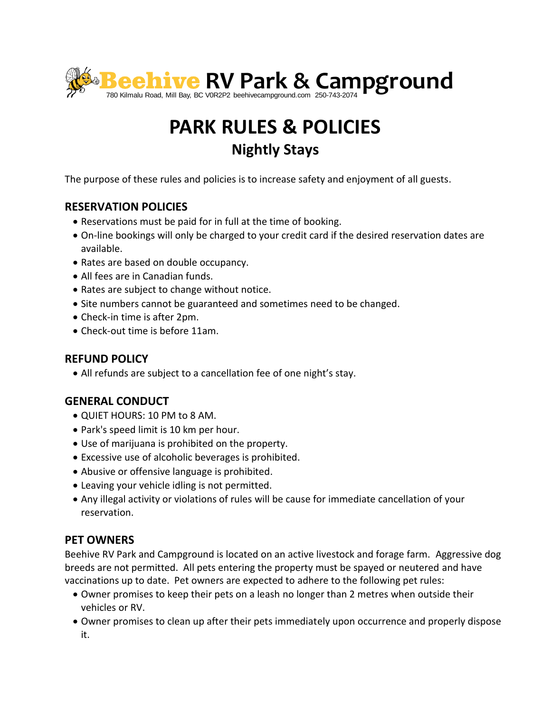

# **PARK RULES & POLICIES Nightly Stays**

The purpose of these rules and policies is to increase safety and enjoyment of all guests.

# **RESERVATION POLICIES**

- Reservations must be paid for in full at the time of booking.
- On-line bookings will only be charged to your credit card if the desired reservation dates are available.
- Rates are based on double occupancy.
- All fees are in Canadian funds.
- Rates are subject to change without notice.
- Site numbers cannot be guaranteed and sometimes need to be changed.
- Check-in time is after 2pm.
- Check-out time is before 11am.

## **REFUND POLICY**

All refunds are subject to a cancellation fee of one night's stay.

## **GENERAL CONDUCT**

- QUIET HOURS: 10 PM to 8 AM.
- Park's speed limit is 10 km per hour.
- Use of marijuana is prohibited on the property.
- Excessive use of alcoholic beverages is prohibited.
- Abusive or offensive language is prohibited.
- Leaving your vehicle idling is not permitted.
- Any illegal activity or violations of rules will be cause for immediate cancellation of your reservation.

## **PET OWNERS**

Beehive RV Park and Campground is located on an active livestock and forage farm. Aggressive dog breeds are not permitted. All pets entering the property must be spayed or neutered and have vaccinations up to date. Pet owners are expected to adhere to the following pet rules:

- Owner promises to keep their pets on a leash no longer than 2 metres when outside their vehicles or RV.
- Owner promises to clean up after their pets immediately upon occurrence and properly dispose it.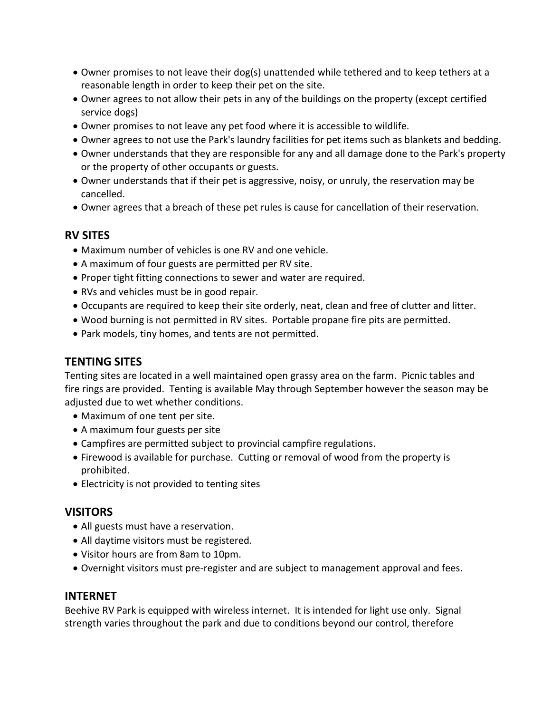- Owner promises to not leave their dog(s) unattended while tethered and to keep tethers at a reasonable length in order to keep their pet on the site.
- Owner agrees to not allow their pets in any of the buildings on the property (except certified service dogs)
- Owner promises to not leave any pet food where it is accessible to wildlife.
- Owner agrees to not use the Park's laundry facilities for pet items such as blankets and bedding.
- Owner understands that they are responsible for any and all damage done to the Park's property or the property of other occupants or guests.
- Owner understands that if their pet is aggressive, noisy, or unruly, the reservation may be cancelled.
- Owner agrees that a breach of these pet rules is cause for cancellation of their reservation.

#### **RV SITES**

- Maximum number of vehicles is one RV and one vehicle.
- A maximum of four guests are permitted per RV site.
- Proper tight fitting connections to sewer and water are required.
- RVs and vehicles must be in good repair.
- Occupants are required to keep their site orderly, neat, clean and free of clutter and litter.
- Wood burning is not permitted in RV sites. Portable propane fire pits are permitted.
- Park models, tiny homes, and tents are not permitted.

#### **TENTING SITES**

Tenting sites are located in a well maintained open grassy area on the farm. Picnic tables and fire rings are provided. Tenting is available May through September however the season may be adjusted due to wet whether conditions.

- Maximum of one tent per site.
- A maximum four guests per site
- Campfires are permitted subject to provincial campfire regulations.
- Firewood is available for purchase. Cutting or removal of wood from the property is prohibited.
- Electricity is not provided to tenting sites

#### **VISITORS**

- All guests must have a reservation.
- All daytime visitors must be registered.
- Visitor hours are from 8am to 10pm.
- Overnight visitors must pre-register and are subject to management approval and fees.

#### **INTERNET**

Beehive RV Park is equipped with wireless internet. It is intended for light use only. Signal strength varies throughout the park and due to conditions beyond our control, therefore